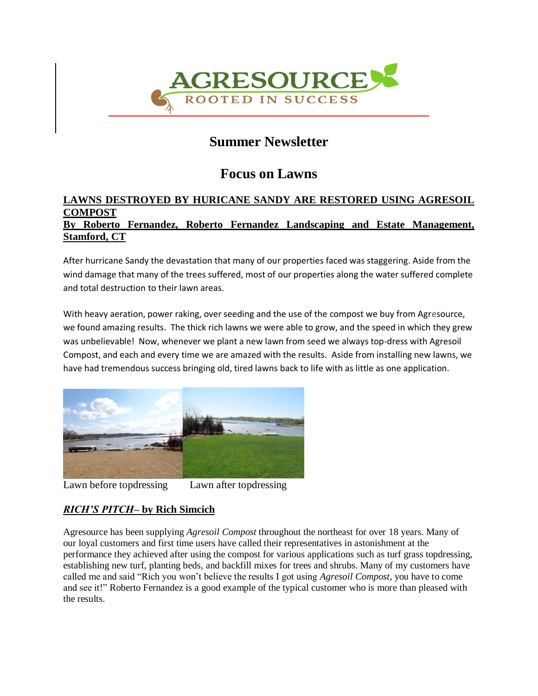

# **Summer Newsletter**

# **Focus on Lawns**

## **LAWNS DESTROYED BY HURICANE SANDY ARE RESTORED USING AGRESOIL COMPOST By Roberto Fernandez, Roberto Fernandez Landscaping and Estate Management, Stamford, CT**

After hurricane Sandy the devastation that many of our properties faced was staggering. Aside from the wind damage that many of the trees suffered, most of our properties along the water suffered complete and total destruction to their lawn areas.

With heavy aeration, power raking, over seeding and the use of the compost we buy from Agresource, we found amazing results. The thick rich lawns we were able to grow, and the speed in which they grew was unbelievable! Now, whenever we plant a new lawn from seed we always top-dress with Agresoil Compost, and each and every time we are amazed with the results. Aside from installing new lawns, we have had tremendous success bringing old, tired lawns back to life with as little as one application.



Lawn before topdressing Lawn after topdressing

## *RICH'S PITCH***– by Rich Simcich**

Agresource has been supplying *Agresoil Compost* throughout the northeast for over 18 years. Many of our loyal customers and first time users have called their representatives in astonishment at the performance they achieved after using the compost for various applications such as turf grass topdressing, establishing new turf, planting beds, and backfill mixes for trees and shrubs. Many of my customers have called me and said "Rich you won't believe the results I got using *Agresoil Compost*, you have to come and see it!" Roberto Fernandez is a good example of the typical customer who is more than pleased with the results.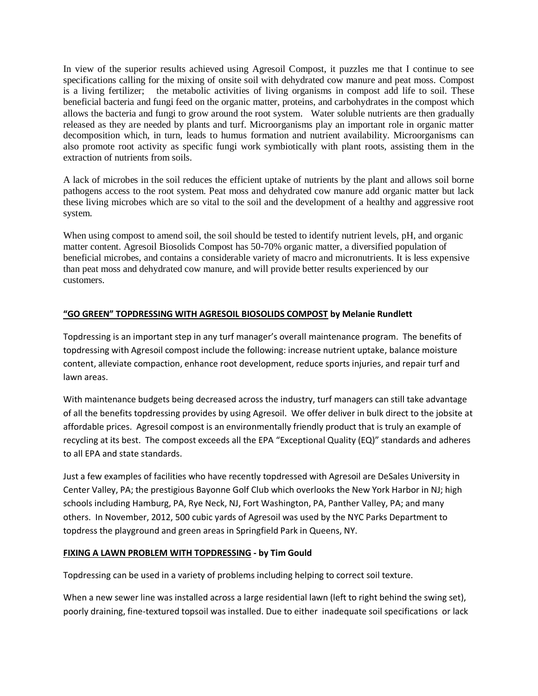In view of the superior results achieved using Agresoil Compost, it puzzles me that I continue to see specifications calling for the mixing of onsite soil with dehydrated cow manure and peat moss. Compost is a living fertilizer; the metabolic activities of living organisms in compost add life to soil. These beneficial bacteria and fungi feed on the organic matter, proteins, and carbohydrates in the compost which allows the bacteria and fungi to grow around the root system. Water soluble nutrients are then gradually released as they are needed by plants and turf. Microorganisms play an important role in organic matter decomposition which, in turn, leads to humus formation and nutrient availability. Microorganisms can also promote root activity as specific fungi work symbiotically with plant roots, assisting them in the extraction of nutrients from soils.

A lack of microbes in the soil reduces the efficient uptake of nutrients by the plant and allows soil borne pathogens access to the root system. Peat moss and dehydrated cow manure add organic matter but lack these living microbes which are so vital to the soil and the development of a healthy and aggressive root system.

When using compost to amend soil, the soil should be tested to identify nutrient levels, pH, and organic matter content. Agresoil Biosolids Compost has 50-70% organic matter, a diversified population of beneficial microbes, and contains a considerable variety of macro and micronutrients. It is less expensive than peat moss and dehydrated cow manure, and will provide better results experienced by our customers.

### **"GO GREEN" TOPDRESSING WITH AGRESOIL BIOSOLIDS COMPOST by Melanie Rundlett**

Topdressing is an important step in any turf manager's overall maintenance program. The benefits of topdressing with Agresoil compost include the following: increase nutrient uptake, balance moisture content, alleviate compaction, enhance root development, reduce sports injuries, and repair turf and lawn areas.

With maintenance budgets being decreased across the industry, turf managers can still take advantage of all the benefits topdressing provides by using Agresoil. We offer deliver in bulk direct to the jobsite at affordable prices. Agresoil compost is an environmentally friendly product that is truly an example of recycling at its best. The compost exceeds all the EPA "Exceptional Quality (EQ)" standards and adheres to all EPA and state standards.

Just a few examples of facilities who have recently topdressed with Agresoil are DeSales University in Center Valley, PA; the prestigious Bayonne Golf Club which overlooks the New York Harbor in NJ; high schools including Hamburg, PA, Rye Neck, NJ, Fort Washington, PA, Panther Valley, PA; and many others. In November, 2012, 500 cubic yards of Agresoil was used by the NYC Parks Department to topdress the playground and green areas in Springfield Park in Queens, NY.

### **FIXING A LAWN PROBLEM WITH TOPDRESSING - by Tim Gould**

Topdressing can be used in a variety of problems including helping to correct soil texture.

When a new sewer line was installed across a large residential lawn (left to right behind the swing set), poorly draining, fine-textured topsoil was installed. Due to either inadequate soil specifications or lack